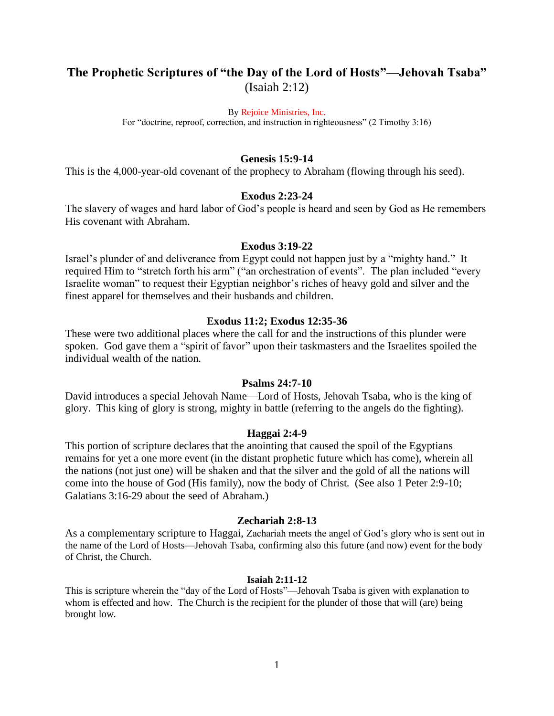# **The Prophetic Scriptures of "the Day of the Lord of Hosts"—Jehovah Tsaba"** (Isaiah 2:12)

By Rejoice Ministries, Inc.

For "doctrine, reproof, correction, and instruction in righteousness" (2 Timothy 3:16)

## **Genesis 15:9-14**

This is the 4,000-year-old covenant of the prophecy to Abraham (flowing through his seed).

## **Exodus 2:23-24**

The slavery of wages and hard labor of God's people is heard and seen by God as He remembers His covenant with Abraham.

#### **Exodus 3:19-22**

Israel's plunder of and deliverance from Egypt could not happen just by a "mighty hand." It required Him to "stretch forth his arm" ("an orchestration of events". The plan included "every Israelite woman" to request their Egyptian neighbor's riches of heavy gold and silver and the finest apparel for themselves and their husbands and children.

## **Exodus 11:2; Exodus 12:35-36**

These were two additional places where the call for and the instructions of this plunder were spoken. God gave them a "spirit of favor" upon their taskmasters and the Israelites spoiled the individual wealth of the nation.

# **Psalms 24:7-10**

David introduces a special Jehovah Name—Lord of Hosts, Jehovah Tsaba, who is the king of glory. This king of glory is strong, mighty in battle (referring to the angels do the fighting).

## **Haggai 2:4-9**

This portion of scripture declares that the anointing that caused the spoil of the Egyptians remains for yet a one more event (in the distant prophetic future which has come), wherein all the nations (not just one) will be shaken and that the silver and the gold of all the nations will come into the house of God (His family), now the body of Christ. (See also 1 Peter 2:9-10; Galatians 3:16-29 about the seed of Abraham.)

## **Zechariah 2:8-13**

As a complementary scripture to Haggai, Zachariah meets the angel of God's glory who is sent out in the name of the Lord of Hosts—Jehovah Tsaba, confirming also this future (and now) event for the body of Christ, the Church.

#### **Isaiah 2:11-12**

This is scripture wherein the "day of the Lord of Hosts"—Jehovah Tsaba is given with explanation to whom is effected and how. The Church is the recipient for the plunder of those that will (are) being brought low.